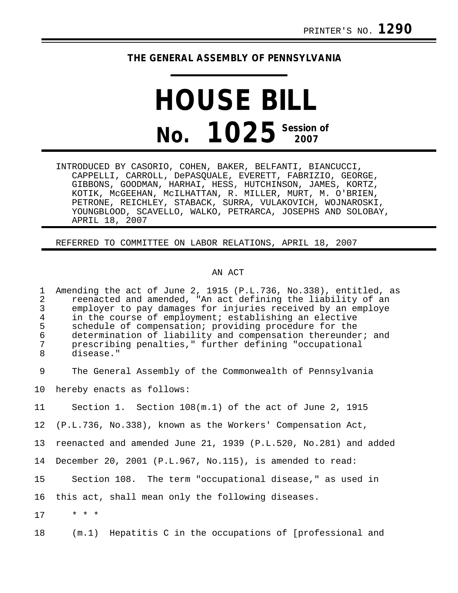# **THE GENERAL ASSEMBLY OF PENNSYLVANIA**

# **HOUSE BILL No. 1025** Session of

INTRODUCED BY CASORIO, COHEN, BAKER, BELFANTI, BIANCUCCI, CAPPELLI, CARROLL, DePASQUALE, EVERETT, FABRIZIO, GEORGE, GIBBONS, GOODMAN, HARHAI, HESS, HUTCHINSON, JAMES, KORTZ, KOTIK, McGEEHAN, McILHATTAN, R. MILLER, MURT, M. O'BRIEN, PETRONE, REICHLEY, STABACK, SURRA, VULAKOVICH, WOJNAROSKI, YOUNGBLOOD, SCAVELLO, WALKO, PETRARCA, JOSEPHS AND SOLOBAY, APRIL 18, 2007

## REFERRED TO COMMITTEE ON LABOR RELATIONS, APRIL 18, 2007

#### AN ACT

1 Amending the act of June 2, 1915 (P.L.736, No.338), entitled, as 2 reenacted and amended, "An act defining the liability of an<br>3 employer to pay damages for injuries received by an employe 3 employer to pay damages for injuries received by an employe<br>4 in the course of employment; establishing an elective 4 in the course of employment; establishing an elective<br>5 schedule of compensation; providing procedure for the 5 schedule of compensation; providing procedure for the<br>6 determination of liability and compensation thereunde: 6 determination of liability and compensation thereunder; and<br>7 mescribing penalties." further defining "occupational 7 prescribing penalties," further defining "occupational disease."

9 The General Assembly of the Commonwealth of Pennsylvania

10 hereby enacts as follows:

11 Section 1. Section 108(m.1) of the act of June 2, 1915

12 (P.L.736, No.338), known as the Workers' Compensation Act,

13 reenacted and amended June 21, 1939 (P.L.520, No.281) and added

14 December 20, 2001 (P.L.967, No.115), is amended to read:

15 Section 108. The term "occupational disease," as used in

16 this act, shall mean only the following diseases.

17 \* \* \*

18 (m.1) Hepatitis C in the occupations of [professional and